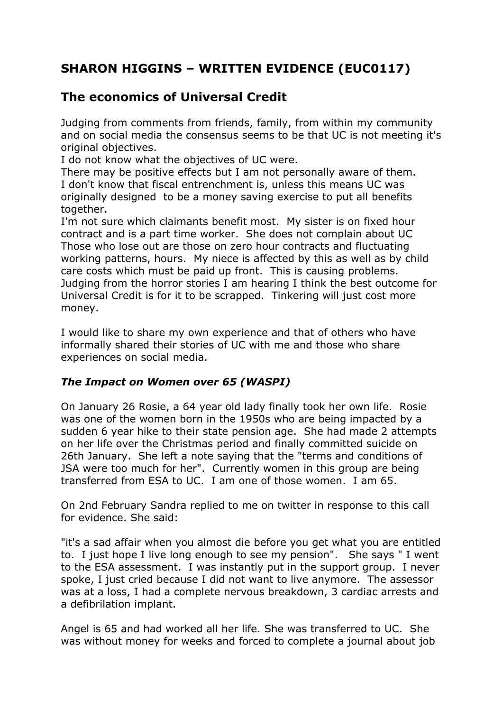## **SHARON HIGGINS – WRITTEN EVIDENCE (EUC0117)**

## **The economics of Universal Credit**

Judging from comments from friends, family, from within my community and on social media the consensus seems to be that UC is not meeting it's original objectives.

I do not know what the objectives of UC were.

There may be positive effects but I am not personally aware of them. I don't know that fiscal entrenchment is, unless this means UC was originally designed to be a money saving exercise to put all benefits together.

I'm not sure which claimants benefit most. My sister is on fixed hour contract and is a part time worker. She does not complain about UC Those who lose out are those on zero hour contracts and fluctuating working patterns, hours. My niece is affected by this as well as by child care costs which must be paid up front. This is causing problems. Judging from the horror stories I am hearing I think the best outcome for Universal Credit is for it to be scrapped. Tinkering will just cost more money.

I would like to share my own experience and that of others who have informally shared their stories of UC with me and those who share experiences on social media.

## *The Impact on Women over 65 (WASPI)*

On January 26 Rosie, a 64 year old lady finally took her own life. Rosie was one of the women born in the 1950s who are being impacted by a sudden 6 year hike to their state pension age. She had made 2 attempts on her life over the Christmas period and finally committed suicide on 26th January. She left a note saying that the "terms and conditions of JSA were too much for her". Currently women in this group are being transferred from ESA to UC. I am one of those women. I am 65.

On 2nd February Sandra replied to me on twitter in response to this call for evidence. She said:

"it's a sad affair when you almost die before you get what you are entitled to. I just hope I live long enough to see my pension". She says " I went to the ESA assessment. I was instantly put in the support group. I never spoke, I just cried because I did not want to live anymore. The assessor was at a loss, I had a complete nervous breakdown, 3 cardiac arrests and a defibrilation implant.

Angel is 65 and had worked all her life. She was transferred to UC. She was without money for weeks and forced to complete a journal about job